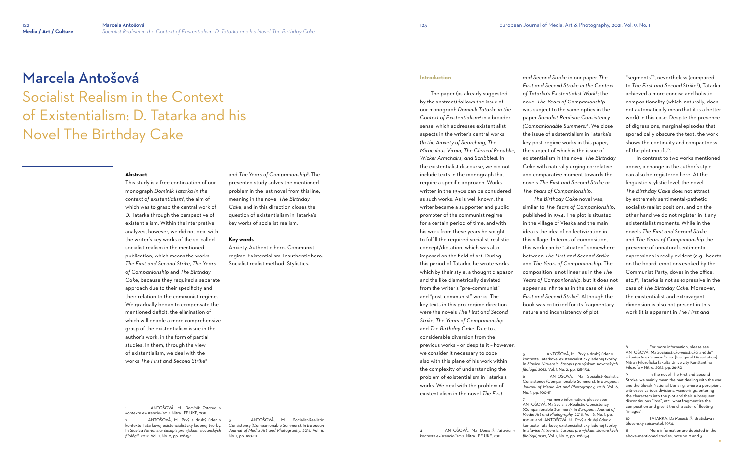123 European Journal of Media, Art & Photography, 2021, Vol. 9, No. 1

# Socialist Realism in the Context of Existentialism: D. Tatarka and his Novel The Birthday Cake

#### **Abstract**

This study is a free continuation of our monograph *Dominik Tatarka in the context of existentialism*<sup>1</sup> , the aim of which was to grasp the central work of D. Tatarka through the perspective of existentialism. Within the interpretive analyzes, however, we did not deal with the writer's key works of the so-called socialist realism in the mentioned publication, which means the works *The First and Second Strike*, *The Years of Companionship* and *The Birthday Cake*, because they required a separate approach due to their specificity and their relation to the communist regime. We gradually began to compensate the mentioned deficit, the elimination of which will enable a more comprehensive grasp of the existentialism issue in the author's work, in the form of partial studies. In them, through the view of existentialism, we deal with the works *The First and Second Strike*<sup>2</sup>

1 ANTOŠOVÁ, M.: *Dominik Tatarka v kontexte existencializmu*. Nitra : FF UKF, 2011.

2 ANTOŠOVÁ, M.: Prvý a druhý úder v kontexte Tatarkovej existencialisticky ladenej tvorby. In *Slavica Nitriensia: časopis pre výskum slovanských filológií*, 2012, Vol. 1, No. 2, pp. 128-154.

and *The Years of Companionship*<sup>3</sup> . The presented study solves the mentioned problem in the last novel from this line, meaning in the novel *The Birthday Cake*, and in this direction closes the question of existentialism in Tatarka's key works of socialist realism.

#### **Key words**

Anxiety. Authentic hero. Communist regime. Existentialism. Inauthentic hero. Socialist-realist method. Stylistics.

3 ANTOŠOVÁ, M.: Socialist-Realistic Consistency (Companionable Summers). In *European Journal of Media Art and Photography,* 2018*,* Vol. 6, No. 1, pp. 100-111.

#### **Introduction**

 The paper (as already suggested by the abstract) follows the issue of our monograph *Dominik Tatarka in the Context of Existentialism*<sup>4</sup> in a broader sense, which addresses existentialist aspects in the writer's central works (*In the Anxiety of Searching, The Miraculous Virgin, The Clerical Republic, Wicker Armchairs, and Scribbles*). In the existentialist discourse, we did not include texts in the monograph that require a specific approach. Works written in the 1950s can be considered as such works. As is well known, the writer became a supporter and public promoter of the communist regime for a certain period of time, and with his work from these years he sought to fulfill the required socialist-realistic concept/dictation, which was also imposed on the field of art. During this period of Tatarka, he wrote works which by their style, a thought diapason and the like diametrically deviated from the writer's "pre-communist" and "post-communist" works. The key texts in this pro-regime direction were the novels *The First and Second Strike, The Years of Companionship*  and *The Birthday Cake*. Due to a considerable diversion from the previous works – or despite it – however, we consider it necessary to cope also with this plane of his work within

> For more information, please see: ANTOŠOVÁ, M.: Socialist-Realistic Consistency (Companionable Summers). In *European Journal of Media Art and Photography,* 2018*,* Vol. 6, No. 1, pp. 100-111 and ANTOŠOVÁ, M.: Prvý a druhý úder v kontexte Tatarkovej existencialisticky ladenej tvorby. In *Slavica Nitriensia: časopis pre výskum slovanských filológií*, 2012, Vol. 1, No. 2, pp. 128-154.

the complexity of understanding the problem of existentialism in Tatarka's works. We deal with the problem of existentialism in the novel *The First* 

4 ANTOŠOVÁ, M.: *Dominik Tatarka v* 

*kontexte existencializmu*. Nitra : FF UKF, 2011.

*and Second Stroke* in our paper *The First and Second Stroke in the Context of Tatarka's Existentialist Work<sup>5</sup>* ; the novel *The Years of Companionship* was subject to the same optics in the paper *Socialist-Realistic Consistency (Companionable Summers)<sup>6</sup>* . We close the issue of existentialism in Tatarka's key post-regime works in this paper, the subject of which is the issue of existentialism in the novel *The Birthday Ca*ke with naturally urging correlative and comparative moment towards the novels *The First and Second Strike* or *The Years of Companionship The Birthday Cak*e novel was, similar to *The Years of Companionship*, published in 1954. The plot is situated in the village of Vieska and the main idea is the idea of collectivization in this village. In terms of composition, this work can be "situated" somewhere between *The First and Second Strike* and *The Years of Companionship*. The composition is not linear as in the *The Years of Companionship*, but it does not appear as infinite as in the case of *The*  First and Second Strike<sup>7</sup>. Although the book was criticized for its fragmentary

nature and inconsistency of plot

5 ANTOŠOVÁ, M.: Prvý a druhý úder v kontexte Tatarkovej existencialisticky ladenej tvorby. In *Slavica Nitriensia: časopis pre výskum slovanských filológií*, 2012, Vol. 1, No. 2, pp. 128-154. 6 ANTOŠOVÁ, M.: Socialist-Realistic Consistency (Companionable Summers). In *European Journal of Media Art and Photography,* 2018*,* Vol. 6, No. 1, pp. 100-111.

"segments" 8 , nevertheless (compared to *The First and Second Strike* 9 ), Tatarka achieved a more concise and holistic compositionality (which, naturally, does not automatically mean that it is a better work) in this case. Despite the presence of digressions, marginal episodes that sporadically obscure the text, the work shows the continuity and compactness of the plot motifs 10 .

 In contrast to two works mentioned above, a change in the author's style can also be registered here. At the linguistic-stylistic level, the novel *The Birthday Cak*e does not attract by extremely sentimental-pathetic socialist-realist positions, and on the other hand we do not register in it any existentialist moments. While in the novels *The First and Second Strike* and *The Years of Companionship* the presence of unnatural sentimental expressions is really evident (e.g., hearts on the board, emotions evoked by the Communist Party, doves in the office, etc.) 11 , Tatarka is not as expressive in the case of *The Birthday Cake*. Moreover, the existentialist and extravagant dimension is also not present in this work (it is apparent in *The First and* 

For more information, please see: ANTOŠOVÁ, M.: *Socialistickorealistická "triáda" v kontexte existencializmu* [Inaugural Dissertation]. Nitra : Filozofická fakulta Univerzity Konštantína Filozofa v Nitre, 2012, pp. 26-30.

In the novel The First and Second Stroke, we mainly mean the part dealing with the war and the Slovak National Uprising, where a percipient witnesses various divisions, wanderings, entering the characters into the plot and their subsequent discontinuous "loss" etc., what fragmentize the composition and give it the character of fleeting "images".

More information are depicted in the above-mentioned studies, note no. 2 and 3.

<sup>10</sup> TATARKA, D.: *Radostník*. Bratislava : Slovenský spisovateľ, 1954.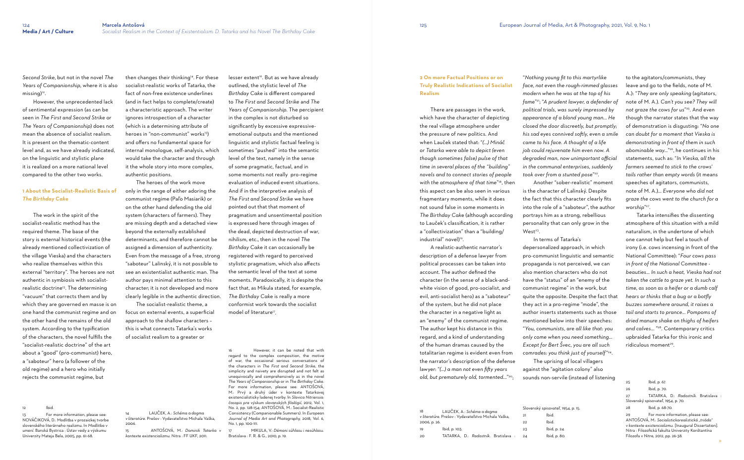*Second Strike*, but not in the novel *The Years of Companionship*, where it is also missing)<sup>12</sup>.

954, p. 15.

 However, the unprecedented lack of sentimental expression (as can be seen in *The First and Second Strike* or *The Years of Companionship*) does not mean the absence of socialist realism. It is present on the thematic-content level and, as we have already indicated, on the linguistic and stylistic plane it is realized on a more national level compared to the other two works.

#### **1 About the Socialist-Realistic Basis of**  *The Birthday Cak***e**

For more information, please see: NOVÁČIKOVÁ, D.: Modlitba v prozaickej tvorbe slovenského literárneho realizmu. In *Modlitba v umení*. Banská Bystrica : Ústav vedy a výskumu Univerzity Mateja Bela, 2005, pp. 61-68.

then changes their thinking<sup>14</sup>. For these socialist-realistic works of Tatarka, the fact of non-free existence underlines (and in fact helps to complete/create) a characteristic approach. The writer ignores introspection of a character (which is a determining attribute of heroes in "non-communist" works<sup>15</sup>) and offers no fundamental space for internal monologue, self-analysis, which would take the character and through it the whole story into more complex, authentic positions.

 The work in the spirit of the socialist-realistic method has the required theme. The base of the story is external historical events (the already mentioned collectivization of the village Vieska) and the characters who realize themselves within this external "territory". The heroes are not authentic in symbiosis with socialistrealistic doctrine<sup>13</sup>. The determining "vacuum" that corrects them and by which they are governed en masse is on one hand the communist regime and on the other hand the remains of the old system. According to the typification of the characters, the novel fulfills the "socialist-realistic doctrine" of the art about a "good" (pro-communist) hero, a "saboteur" hero (a follower of the old regime) and a hero who initially rejects the communist regime, but

#### 12 Ibid.

 The heroes of the work move only in the range of either adoring the communist regime (Paľo Masiarik) or on the other hand defending the old system (characters of farmers). They are missing depth and a detached view beyond the externally established determinants, and therefore cannot be assigned a dimension of authenticity. Even from the message of a free, strong "saboteur" Lalinský, it is not possible to see an existentialist authentic man. The author pays minimal attention to this character; it is not developed and more clearly legible in the authentic direction.

 There are passages in the work, which have the character of depicting the real village atmosphere under the pressure of new politics. And when Lauček stated that: "*( ) Mináč or Tatarka were able to depict (even though sometimes false) pulse of that time in several places of the "building" novels and to connect stories of people with the atmosphere of that time*" 18 *,* then this aspect can be also seen in various fragmentary moments, while it does not sound false in some moments in *The Birthday Cak*e (although according to Lauček's classification, it is rather a "collectivization" than a "building/ industrial" novel)<sup>19</sup>.

 The socialist-realistic theme, a focus on external events, a superficial approach to the shallow characters – this is what connects Tatarka's works of socialist realism to a greater or

 A realistic-authentic narrator's description of a defense lawyer from political processes can be taken into account. The author defined the character (in the sense of a black-andwhite vision of good, pro-socialist, and evil, anti-socialist hero) as a "saboteur" of the system, but he did not place the character in a negative light as an "enemy" of the communist regime. The author kept his distance in this regard, and a kind of understanding of the human dramas caused by the totalitarian regime is evident even from the narrator's description of the defense lawyer: "*( ) a man not even fifty years*  old, but prematurely old, tormented..."<sup>20</sup>;

14 LAUČEK, A.: *Schéma a dogma v literatúre*. Prešov : Vydavateľstvo Michala Vaška,

2006.

lesser extent<sup>16</sup>. But as we have already outlined, the stylistic level of *The Birthday Cak*e is different compared to *The First and Second Strike* and *The Years of Companionship*. The percipient in the complex is not disturbed so significantly by excessive expressiveemotional outputs and the mentioned linguistic and stylistic factual feeling is sometimes "pushed" into the semantic level of the text, namely in the sense of some pragmatic, factual, and in some moments not really pro-regime evaluation of induced event situations. And if in the interpretive analysis of *The First and Second Strike* we have pointed out that that moment of pragmatism and unsentimental position is expressed here through images of the dead, depicted destruction of war, nihilism, etc., then in the novel *The Birthday Cak*e it can occasionally be registered with regard to perceived stylistic pragmatism, which also affects the semantic level of the text at some moments. Paradoxically, it is despite the fact that, as Mikula stated, for example, *The Birthday Cak*e is really a more conformist work towards the socialist model of literature<sup>17</sup>.

15 ANTOŠOVÁ, M.: *Dominik Tatarka v kontexte existencializmu*. Nitra : FF UKF, 2011.

*face, not even the rough-rimmed glasses modern when he was at the top of his fame*" 21 ; "*A prudent lawyer, a defender of political trials, was surely impressed by*  appearance of a blond young man... He *closed the door discreetly, but promptly; his sad eyes connived softly, even a smile came to his face A thought of a life job could rejuvenate him even now A degraded man, now unimportant official in the communal enterprises, suddenly took over from a stunted pose*" 22 . is the character of Lalinský. Despite the fact that this character clearly fits into the role of a "saboteur", the author portrays him as a strong, rebellious personality that can only grow in the  $West<sup>23</sup>$ .

16 However, it can be noted that with regard to the complex composition, the motive of war, the occasional serious conversations of the characters in *The First and Second Strike*, the simplicity and naivety are disrupted and not felt as unequivocally and comprehensively as in the novel *The Years of Companionship* or in *The Birthday Cake*. For more information, please see: ANTOŠOVÁ, M.: Prvý a druhý úder v kontexte Tatarkovej existencialisticky ladenej tvorby. In *Slavica Nitriensia: časopis pre výskum slovanských filológií*, 2012, Vol. 1, No. 2, pp. 128-154; ANTOŠOVÁ, M.: Socialist-Realistic Consistency (Companionable Summers). In *European Journal of Media Art and Photography,* 2018*,* Vol. 6, No. 1, pp. 100-111.

17 MIKULA, V.: *Démoni súhlasu i nesúhlasu*. Bratislava : F. R. & G., 2010, p. 19.

**2 On more Factual Positions or on Truly Realistic Indications of Socialist Realism** 

"*Nothing young fit to this martyrlike*  Another "sober-realistic" moment

| 18                                                  | LAUCEK, A.: Schéma a dogma           | Slovenský spisovateľ, 19 |              |
|-----------------------------------------------------|--------------------------------------|--------------------------|--------------|
| v literatúre. Prešov : Vydavateľstvo Michala Vaška, |                                      | 21                       | Ibid.        |
| 2006, p. 26.                                        |                                      | 22                       | Ibid.        |
| 19                                                  | lbid, p. 103.                        | 23                       | lbid, p. 24. |
| 20                                                  | TATARKA, D.: Radostník. Bratislava : | 24                       | Ibid, p. 80. |

 In terms of Tatarka's depersonalized approach, in which pro-communist linguistic and semantic propaganda is not perceived, we can also mention characters who do not have the "status" of an "enemy of the communist regime" in the work, but quite the opposite. Despite the fact that they act in a pro-regime "mode", the author inserts statements such as those mentioned below into their speeches: "*You, communists, are all like that: you only come when you need something Except for Bert Švec, you are all such comrades: you think just of yourself*" 24 . The uprising of local villagers against the "agitation colony" also sounds non-servile (instead of listening

to the agitators/communists, they leave and go to the fields, note of M. A.): "*They are only speaking* (agitators, note of M. A.) *Can't you see? They will not graze the cows for us*" 25 . And even though the narrator states that the way of demonstration is disgusting: "*No one can doubt for a moment that Vieska is demonstrating in front of them in such*  abominable way..."<sup>26</sup>, he continues in his statements, such as: "*In Vieska, all the farmers seemed to stick to the crows' tails rather than empty words* (it means speeches of agitators, communists, note of M. A.) *Everyone who did not graze the cows went to the church for a worship*" 27 

 Tatarka intensifies the dissenting atmosphere of this situation with a mild naturalism, in the undertone of which one cannot help but feel a touch of irony (i.e. cows incensing in front of the National Committee): "*Four cows pass in front of the National Committee beauties In such a heat, Vieska had not taken the cattle to graze yet In such a time, as soon as a heifer or a dumb calf hears or thinks that a bug or a botfly buzzes somewhere around, it raises a*  tail and starts to prance... Pompoms of *dried manure shake on thighs of heifers*  and calves... "<sup>28</sup>. Contemporary critics upbraided Tatarka for this ironic and ridiculous moment 29 .

25 Ibid, p. 67. 26 Ibid, p. 70. 27 TATARKA, D.: *Radostník*. Bratislava : Slovenský spisovateľ, 1954, p. 70. 28 Ibid, p. 68-70. 29 For more information, please see: ANTOŠOVÁ, M.: *Socialistickorealistická "triáda" v kontexte existencializmu* [Inaugural Dissertation]. Nitra : Filozofická fakulta Univerzity Konštantína Filozofa v Nitre, 2012, pp. 26-38.